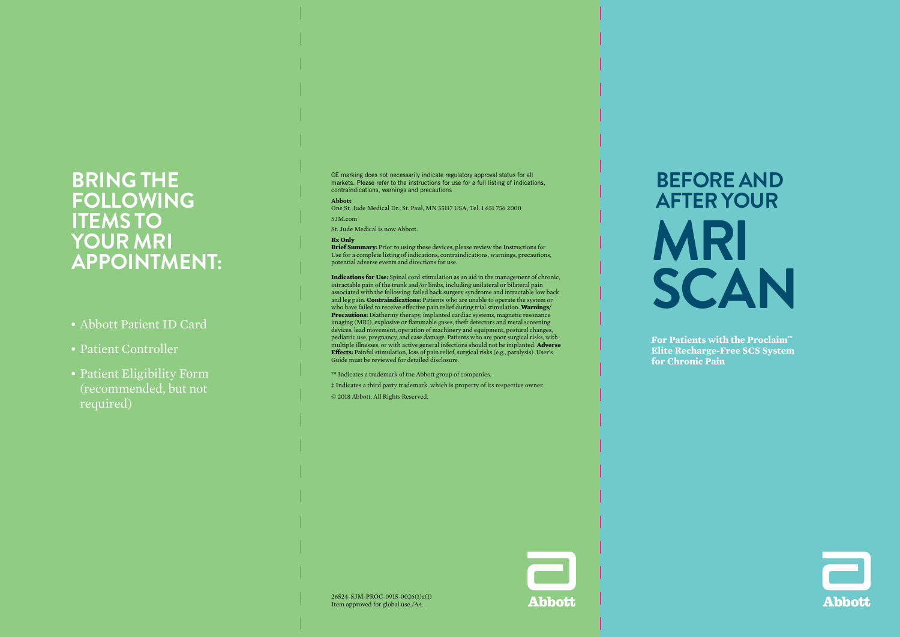# **BRING THE FOLLOWING ITEMS TO YOUR MRI APPOINTMENT:**

- Abbott Patient ID Card
- Patient Controller
- Patient Eligibility Form (recommended, but not required)

CE marking does not necessarily indicate regulatory approval status for all markets. Please refer to the instructions for use for a full listing of indications, contraindications, warnings and precautions

#### **Abbott**

One St. Jude Medical Dr., St. Paul, MN 55117 USA, Tel: 1 651 756 2000

SJM<sub>com</sub>

St. Jude Medical is now Abbott.

#### **Rx Only**

**Brief Summary:** Prior to using these devices, please review the Instructions for Use for a complete listing of indications, contraindications, warnings, precautions, potential adverse events and directions for use.

**Indications for Use:** Spinal cord stimulation as an aid in the management of chronic, intractable pain of the trunk and/or limbs, including unilateral or bilateral pain associated with the following: failed back surgery syndrome and intractable low back and leg pain. **Contraindications:** Patients who are unable to operate the system or who have failed to receive effective pain relief during trial stimulation. **Warnings/ Precautions:** Diathermy therapy, implanted cardiac systems, magnetic resonance imaging (MRI), explosive or flammable gases, theft detectors and metal screening devices, lead movement, operation of machinery and equipment, postural changes, pediatric use, pregnancy, and case damage. Patients who are poor surgical risks, with multiple illnesses, or with active general infections should not be implanted. **Adverse Effects:** Painful stimulation, loss of pain relief, surgical risks (e.g., paralysis). User's Guide must be reviewed for detailed disclosure.

™ Indicates a trademark of the Abbott group of companies.

‡ Indicates a third party trademark, which is property of its respective owner.

© 2018 Abbott. All Rights Reserved.

# **BEFORE AND AFTER YOUR MRI SCAN**

**For Patients with the Proclaim™ Elite Recharge-Free SCS System for Chronic Pain**





26524-SJM-PROC-0915-0026(1)a(1) Item approved for global use./A4.